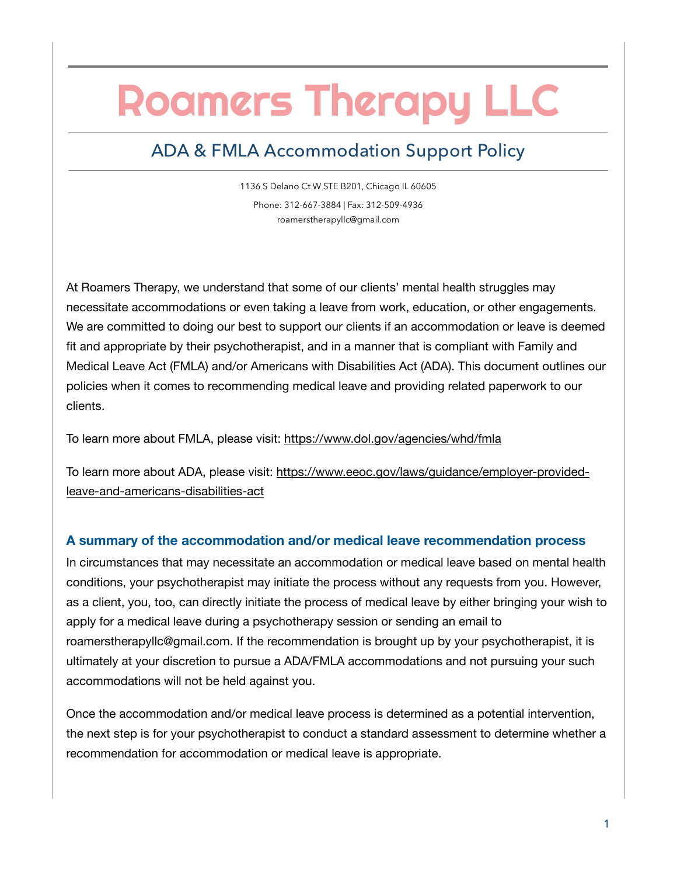# Roamers Therapy LLC

# ADA & FMLA Accommodation Support Policy

1136 S Delano Ct W STE B201, Chicago IL 60605 Phone: 312-667-3884 | Fax: 312-509-4936 roamerstherapyllc@gmail.com

At Roamers Therapy, we understand that some of our clients' mental health struggles may necessitate accommodations or even taking a leave from work, education, or other engagements. We are committed to doing our best to support our clients if an accommodation or leave is deemed fit and appropriate by their psychotherapist, and in a manner that is compliant with Family and Medical Leave Act (FMLA) and/or Americans with Disabilities Act (ADA). This document outlines our policies when it comes to recommending medical leave and providing related paperwork to our clients.

To learn more about FMLA, please visit:<https://www.dol.gov/agencies/whd/fmla>

To learn more about ADA, please visit: [https://www.eeoc.gov/laws/guidance/employer-provided](https://www.eeoc.gov/laws/guidance/employer-provided-leave-and-americans-disabilities-act)[leave-and-americans-disabilities-act](https://www.eeoc.gov/laws/guidance/employer-provided-leave-and-americans-disabilities-act)

## **A summary of the accommodation and/or medical leave recommendation process**

In circumstances that may necessitate an accommodation or medical leave based on mental health conditions, your psychotherapist may initiate the process without any requests from you. However, as a client, you, too, can directly initiate the process of medical leave by either bringing your wish to apply for a medical leave during a psychotherapy session or sending an email to roamerstherapyllc@gmail.com. If the recommendation is brought up by your psychotherapist, it is ultimately at your discretion to pursue a ADA/FMLA accommodations and not pursuing your such accommodations will not be held against you.

Once the accommodation and/or medical leave process is determined as a potential intervention, the next step is for your psychotherapist to conduct a standard assessment to determine whether a recommendation for accommodation or medical leave is appropriate.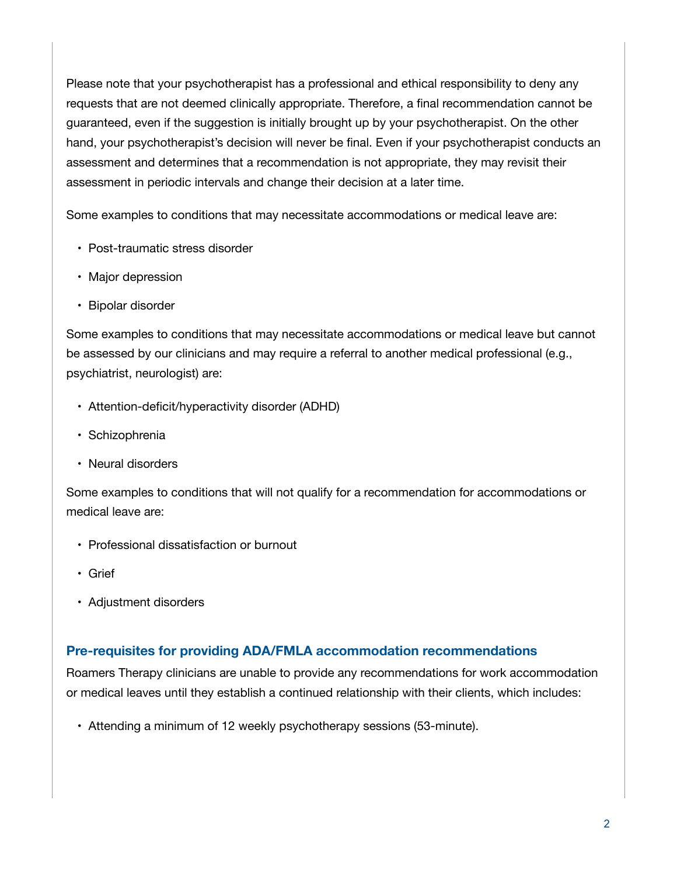Please note that your psychotherapist has a professional and ethical responsibility to deny any requests that are not deemed clinically appropriate. Therefore, a final recommendation cannot be guaranteed, even if the suggestion is initially brought up by your psychotherapist. On the other hand, your psychotherapist's decision will never be final. Even if your psychotherapist conducts an assessment and determines that a recommendation is not appropriate, they may revisit their assessment in periodic intervals and change their decision at a later time.

Some examples to conditions that may necessitate accommodations or medical leave are:

- Post-traumatic stress disorder
- Major depression
- Bipolar disorder

Some examples to conditions that may necessitate accommodations or medical leave but cannot be assessed by our clinicians and may require a referral to another medical professional (e.g., psychiatrist, neurologist) are:

- Attention-deficit/hyperactivity disorder (ADHD)
- Schizophrenia
- Neural disorders

Some examples to conditions that will not qualify for a recommendation for accommodations or medical leave are:

- Professional dissatisfaction or burnout
- Grief
- Adjustment disorders

### **Pre-requisites for providing ADA/FMLA accommodation recommendations**

Roamers Therapy clinicians are unable to provide any recommendations for work accommodation or medical leaves until they establish a continued relationship with their clients, which includes:

• Attending a minimum of 12 weekly psychotherapy sessions (53-minute).